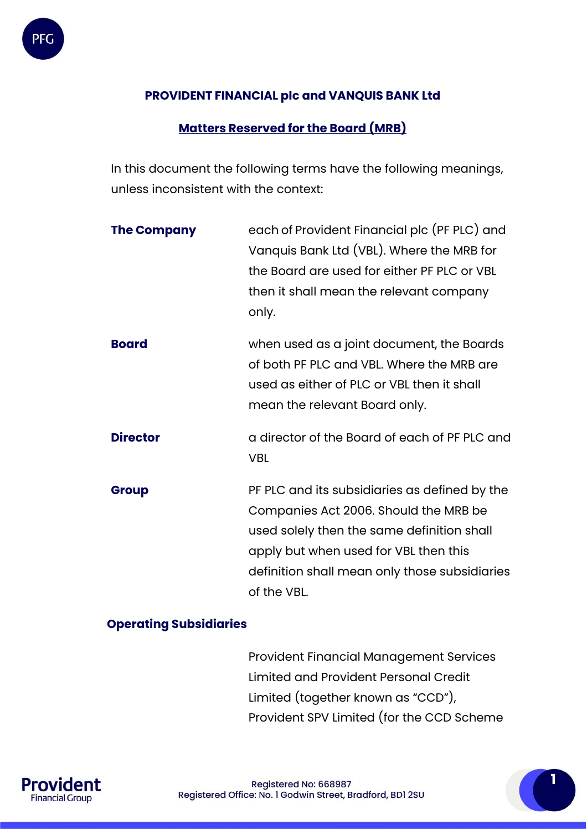# **PROVIDENT FINANCIAL plc and VANQUIS BANK Ltd**

# **Matters Reserved for the Board (MRB)**

In this document the following terms have the following meanings, unless inconsistent with the context:

| <b>The Company</b> | each of Provident Financial plc (PF PLC) and<br>Vanquis Bank Ltd (VBL). Where the MRB for<br>the Board are used for either PF PLC or VBL<br>then it shall mean the relevant company<br>only.                                                  |
|--------------------|-----------------------------------------------------------------------------------------------------------------------------------------------------------------------------------------------------------------------------------------------|
| <b>Board</b>       | when used as a joint document, the Boards<br>of both PF PLC and VBL. Where the MRB are<br>used as either of PLC or VBL then it shall<br>mean the relevant Board only.                                                                         |
| <b>Director</b>    | a director of the Board of each of PF PLC and<br><b>VBL</b>                                                                                                                                                                                   |
| <b>Group</b>       | PF PLC and its subsidiaries as defined by the<br>Companies Act 2006. Should the MRB be<br>used solely then the same definition shall<br>apply but when used for VBL then this<br>definition shall mean only those subsidiaries<br>of the VBL. |

# **Operating Subsidiaries**

Provident Financial Management Services Limited and Provident Personal Credit Limited (together known as "CCD"), Provident SPV Limited (for the CCD Scheme

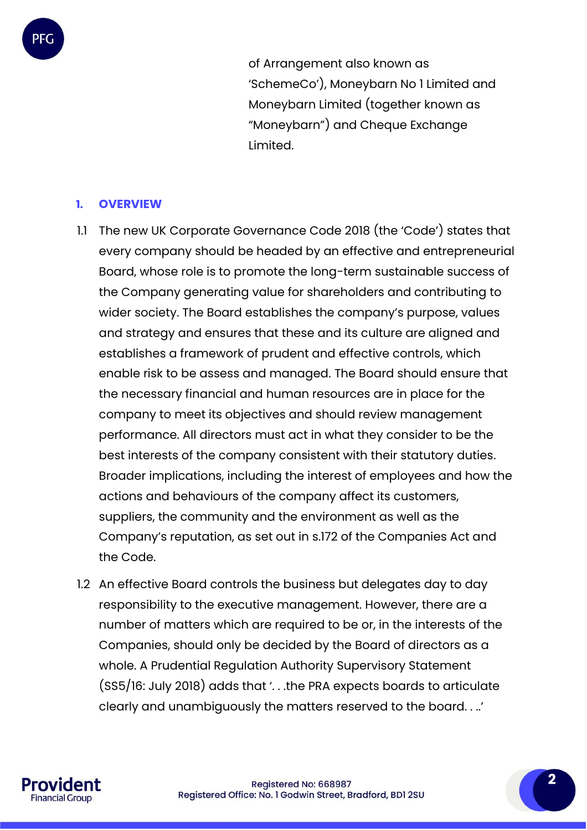of Arrangement also known as 'SchemeCo'), Moneybarn No 1 Limited and Moneybarn Limited (together known as "Moneybarn") and Cheque Exchange Limited.

#### **1. OVERVIEW**

PFC

- 1.1 The new UK Corporate Governance Code 2018 (the 'Code') states that every company should be headed by an effective and entrepreneurial Board, whose role is to promote the long-term sustainable success of the Company generating value for shareholders and contributing to wider society. The Board establishes the company's purpose, values and strategy and ensures that these and its culture are aligned and establishes a framework of prudent and effective controls, which enable risk to be assess and managed. The Board should ensure that the necessary financial and human resources are in place for the company to meet its objectives and should review management performance. All directors must act in what they consider to be the best interests of the company consistent with their statutory duties. Broader implications, including the interest of employees and how the actions and behaviours of the company affect its customers, suppliers, the community and the environment as well as the Company's reputation, as set out in s.172 of the Companies Act and the Code.
- 1.2 An effective Board controls the business but delegates day to day responsibility to the executive management. However, there are a number of matters which are required to be or, in the interests of the Companies, should only be decided by the Board of directors as a whole. A Prudential Regulation Authority Supervisory Statement (SS5/16: July 2018) adds that '. . .the PRA expects boards to articulate clearly and unambiguously the matters reserved to the board. . ..'

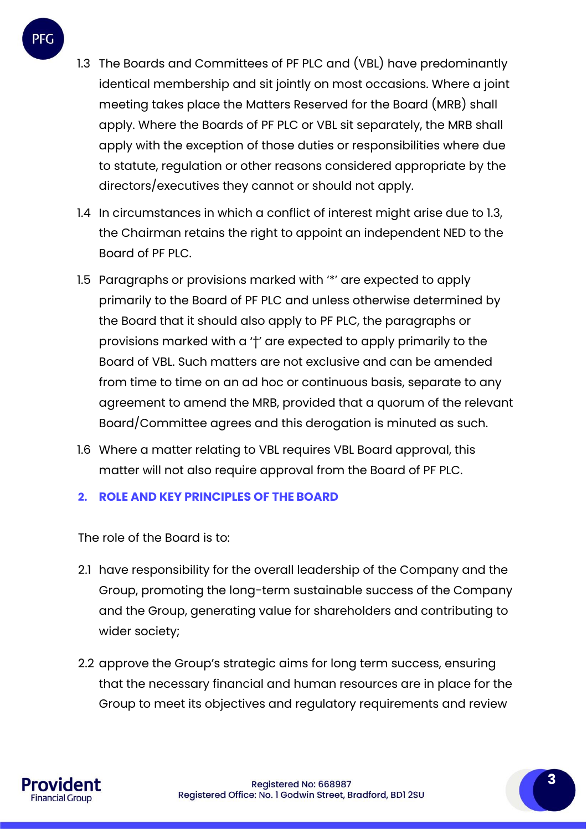

- 1.3 The Boards and Committees of PF PLC and (VBL) have predominantly identical membership and sit jointly on most occasions. Where a joint meeting takes place the Matters Reserved for the Board (MRB) shall apply. Where the Boards of PF PLC or VBL sit separately, the MRB shall apply with the exception of those duties or responsibilities where due to statute, regulation or other reasons considered appropriate by the directors/executives they cannot or should not apply.
- 1.4 In circumstances in which a conflict of interest might arise due to 1.3, the Chairman retains the right to appoint an independent NED to the Board of PF PLC.
- 1.5 Paragraphs or provisions marked with '\*' are expected to apply primarily to the Board of PF PLC and unless otherwise determined by the Board that it should also apply to PF PLC, the paragraphs or provisions marked with a '†' are expected to apply primarily to the Board of VBL. Such matters are not exclusive and can be amended from time to time on an ad hoc or continuous basis, separate to any agreement to amend the MRB, provided that a quorum of the relevant Board/Committee agrees and this derogation is minuted as such.
- 1.6 Where a matter relating to VBL requires VBL Board approval, this matter will not also require approval from the Board of PF PLC.

## **2. ROLE AND KEY PRINCIPLES OF THE BOARD**

The role of the Board is to:

- 2.1 have responsibility for the overall leadership of the Company and the Group, promoting the long-term sustainable success of the Company and the Group, generating value for shareholders and contributing to wider society;
- 2.2 approve the Group's strategic aims for long term success, ensuring that the necessary financial and human resources are in place for the Group to meet its objectives and regulatory requirements and review

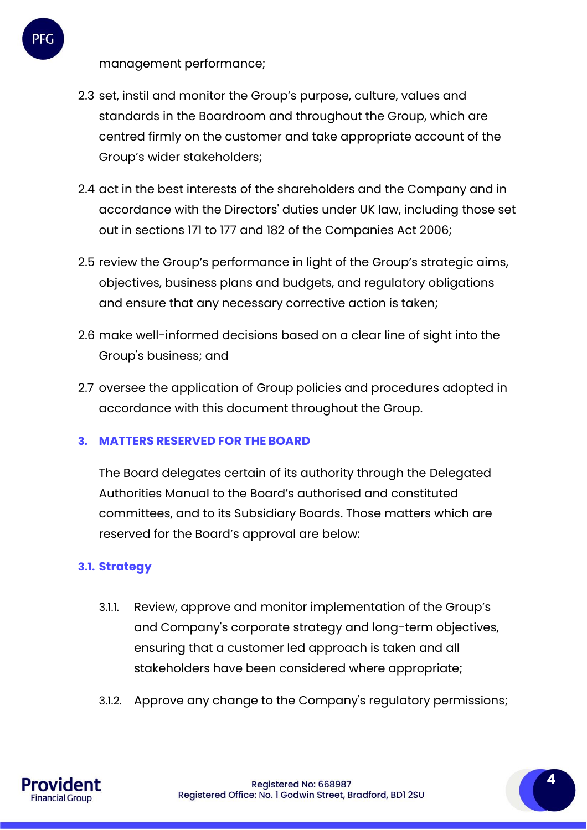management performance;

PFC

- 2.3 set, instil and monitor the Group's purpose, culture, values and standards in the Boardroom and throughout the Group, which are centred firmly on the customer and take appropriate account of the Group's wider stakeholders;
- 2.4 act in the best interests of the shareholders and the Company and in accordance with the Directors' duties under UK law, including those set out in sections 171 to 177 and 182 of the Companies Act 2006;
- 2.5 review the Group's performance in light of the Group's strategic aims, objectives, business plans and budgets, and regulatory obligations and ensure that any necessary corrective action is taken;
- 2.6 make well-informed decisions based on a clear line of sight into the Group's business; and
- 2.7 oversee the application of Group policies and procedures adopted in accordance with this document throughout the Group.

## **3. MATTERS RESERVED FOR THEBOARD**

The Board delegates certain of its authority through the Delegated Authorities Manual to the Board's authorised and constituted committees, and to its Subsidiary Boards. Those matters which are reserved for the Board's approval are below:

#### **3.1. Strategy**

- 3.1.1. Review, approve and monitor implementation of the Group's and Company's corporate strategy and long-term objectives, ensuring that a customer led approach is taken and all stakeholders have been considered where appropriate;
- 3.1.2. Approve any change to the Company's regulatory permissions;



Registered No: 668987 Registered Office: No. 1 Godwin Street, Bradford, BD1 2SU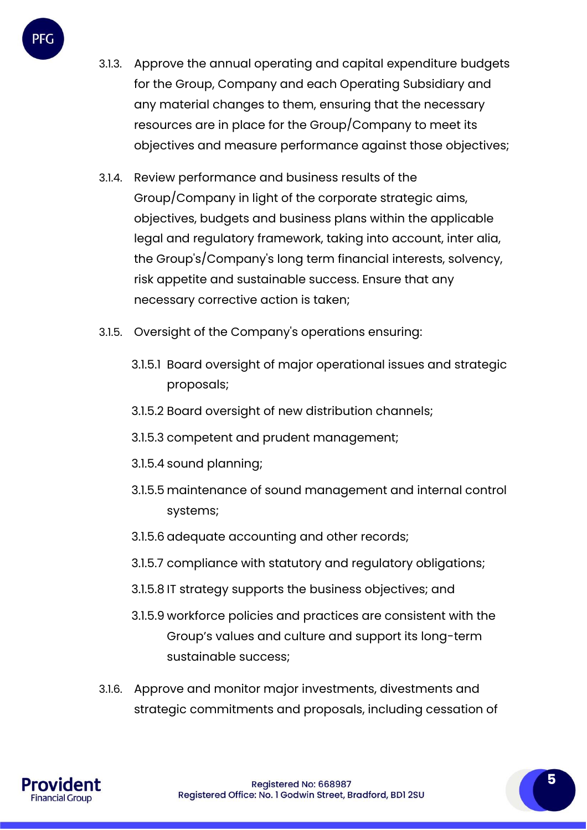

- 3.1.3. Approve the annual operating and capital expenditure budgets for the Group, Company and each Operating Subsidiary and any material changes to them, ensuring that the necessary resources are in place for the Group/Company to meet its objectives and measure performance against those objectives;
- 3.1.4. Review performance and business results of the Group/Company in light of the corporate strategic aims, objectives, budgets and business plans within the applicable legal and regulatory framework, taking into account, inter alia, the Group's/Company's long term financial interests, solvency, risk appetite and sustainable success. Ensure that any necessary corrective action is taken;
- 3.1.5. Oversight of the Company's operations ensuring:
	- 3.1.5.1 Board oversight of major operational issues and strategic proposals;
	- 3.1.5.2 Board oversight of new distribution channels;
	- 3.1.5.3 competent and prudent management;
	- 3.1.5.4 sound planning;
	- 3.1.5.5 maintenance of sound management and internal control systems;
	- 3.1.5.6 adequate accounting and other records;
	- 3.1.5.7 compliance with statutory and regulatory obligations;
	- 3.1.5.8 IT strategy supports the business objectives; and
	- 3.1.5.9 workforce policies and practices are consistent with the Group's values and culture and support its long-term sustainable success;
- 3.1.6. Approve and monitor major investments, divestments and strategic commitments and proposals, including cessation of

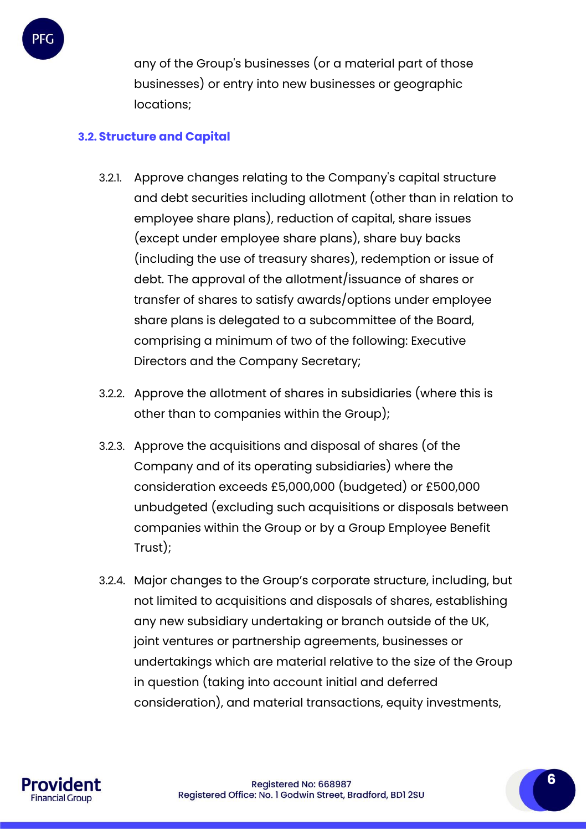

any of the Group's businesses (or a material part of those businesses) or entry into new businesses or geographic locations;

## **3.2. Structure and Capital**

- 3.2.1. Approve changes relating to the Company's capital structure and debt securities including allotment (other than in relation to employee share plans), reduction of capital, share issues (except under employee share plans), share buy backs (including the use of treasury shares), redemption or issue of debt. The approval of the allotment/issuance of shares or transfer of shares to satisfy awards/options under employee share plans is delegated to a subcommittee of the Board, comprising a minimum of two of the following: Executive Directors and the Company Secretary;
- 3.2.2. Approve the allotment of shares in subsidiaries (where this is other than to companies within the Group);
- 3.2.3. Approve the acquisitions and disposal of shares (of the Company and of its operating subsidiaries) where the consideration exceeds £5,000,000 (budgeted) or £500,000 unbudgeted (excluding such acquisitions or disposals between companies within the Group or by a Group Employee Benefit Trust);
- 3.2.4. Major changes to the Group's corporate structure, including, but not limited to acquisitions and disposals of shares, establishing any new subsidiary undertaking or branch outside of the UK, joint ventures or partnership agreements, businesses or undertakings which are material relative to the size of the Group in question (taking into account initial and deferred consideration), and material transactions, equity investments,

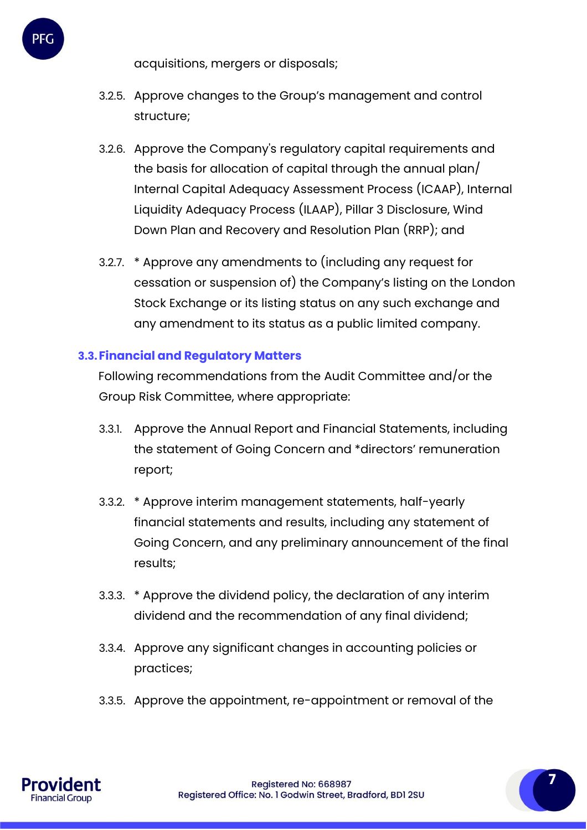acquisitions, mergers or disposals;

- 3.2.5. Approve changes to the Group's management and control structure;
- 3.2.6. Approve the Company's regulatory capital requirements and the basis for allocation of capital through the annual plan/ Internal Capital Adequacy Assessment Process (ICAAP), Internal Liquidity Adequacy Process (ILAAP), Pillar 3 Disclosure, Wind Down Plan and Recovery and Resolution Plan (RRP); and
- 3.2.7. \* Approve any amendments to (including any request for cessation or suspension of) the Company's listing on the London Stock Exchange or its listing status on any such exchange and any amendment to its status as a public limited company.

# **3.3.Financial and Regulatory Matters**

Following recommendations from the Audit Committee and/or the Group Risk Committee, where appropriate:

- 3.3.1. Approve the Annual Report and Financial Statements, including the statement of Going Concern and \*directors' remuneration report;
- 3.3.2. \* Approve interim management statements, half-yearly financial statements and results, including any statement of Going Concern, and any preliminary announcement of the final results;
- 3.3.3. \* Approve the dividend policy, the declaration of any interim dividend and the recommendation of any final dividend;
- 3.3.4. Approve any significant changes in accounting policies or practices;
- 3.3.5. Approve the appointment, re-appointment or removal of the

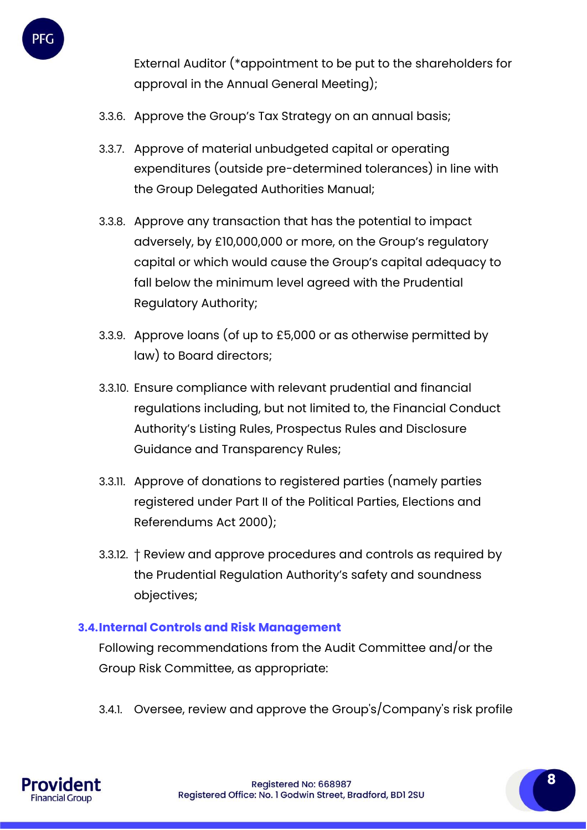

External Auditor (\*appointment to be put to the shareholders for approval in the Annual General Meeting);

- 3.3.6. Approve the Group's Tax Strategy on an annual basis;
- 3.3.7. Approve of material unbudgeted capital or operating expenditures (outside pre-determined tolerances) in line with the Group Delegated Authorities Manual;
- 3.3.8. Approve any transaction that has the potential to impact adversely, by £10,000,000 or more, on the Group's regulatory capital or which would cause the Group's capital adequacy to fall below the minimum level agreed with the Prudential Regulatory Authority;
- 3.3.9. Approve loans (of up to £5,000 or as otherwise permitted by law) to Board directors;
- 3.3.10. Ensure compliance with relevant prudential and financial regulations including, but not limited to, the Financial Conduct Authority's Listing Rules, Prospectus Rules and Disclosure Guidance and Transparency Rules;
- 3.3.11. Approve of donations to registered parties (namely parties registered under Part II of the Political Parties, Elections and Referendums Act 2000);
- 3.3.12. † Review and approve procedures and controls as required by the Prudential Regulation Authority's safety and soundness objectives;

## **3.4.Internal Controls and Risk Management**

Following recommendations from the Audit Committee and/or the Group Risk Committee, as appropriate:

3.4.1. Oversee, review and approve the Group's/Company's risk profile

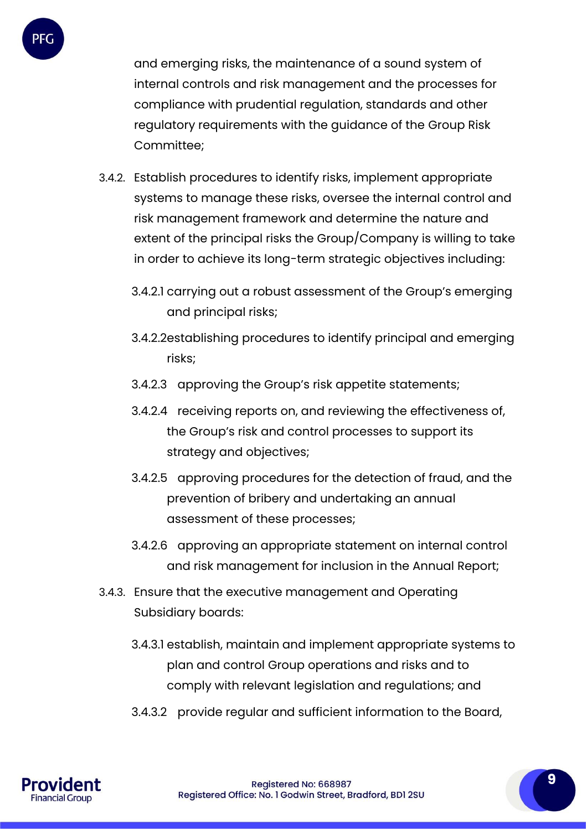

and emerging risks, the maintenance of a sound system of internal controls and risk management and the processes for compliance with prudential regulation, standards and other regulatory requirements with the guidance of the Group Risk Committee;

- 3.4.2. Establish procedures to identify risks, implement appropriate systems to manage these risks, oversee the internal control and risk management framework and determine the nature and extent of the principal risks the Group/Company is willing to take in order to achieve its long-term strategic objectives including:
	- 3.4.2.1 carrying out a robust assessment of the Group's emerging and principal risks;
	- 3.4.2.2establishing procedures to identify principal and emerging risks;
	- 3.4.2.3 approving the Group's risk appetite statements;
	- 3.4.2.4 receiving reports on, and reviewing the effectiveness of, the Group's risk and control processes to support its strategy and objectives;
	- 3.4.2.5 approving procedures for the detection of fraud, and the prevention of bribery and undertaking an annual assessment of these processes;
	- 3.4.2.6 approving an appropriate statement on internal control and risk management for inclusion in the Annual Report;
- 3.4.3. Ensure that the executive management and Operating Subsidiary boards:
	- 3.4.3.1 establish, maintain and implement appropriate systems to plan and control Group operations and risks and to comply with relevant legislation and regulations; and
	- 3.4.3.2 provide regular and sufficient information to the Board,

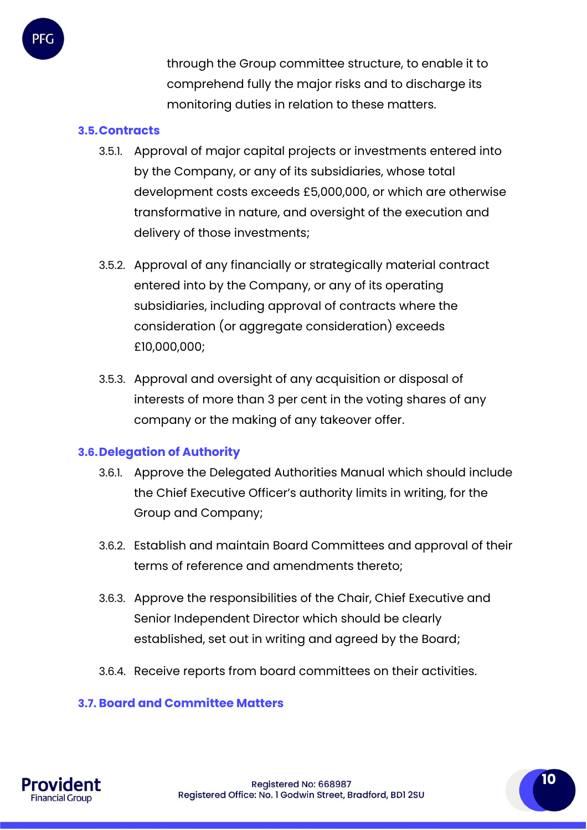through the Group committee structure, to enable it to comprehend fully the major risks and to discharge its monitoring duties in relation to these matters.

#### **3.5.Contracts**

- 3.5.1. Approval of major capital projects or investments entered into by the Company, or any of its subsidiaries, whose total development costs exceeds £5,000,000, or which are otherwise transformative in nature, and oversight of the execution and delivery of those investments;
- 3.5.2. Approval of any financially or strategically material contract entered into by the Company, or any of its operating subsidiaries, including approval of contracts where the consideration (or aggregate consideration) exceeds £10,000,000;
- 3.5.3. Approval and oversight of any acquisition or disposal of interests of more than 3 per cent in the voting shares of any company or the making of any takeover offer.

## **3.6.Delegation of Authority**

- 3.6.1. Approve the Delegated Authorities Manual which should include the Chief Executive Officer's authority limits in writing, for the Group and Company;
- 3.6.2. Establish and maintain Board Committees and approval of their terms of reference and amendments thereto;
- 3.6.3. Approve the responsibilities of the Chair, Chief Executive and Senior Independent Director which should be clearly established, set out in writing and agreed by the Board;
- 3.6.4. Receive reports from board committees on their activities.

#### **3.7. Board and Committee Matters**

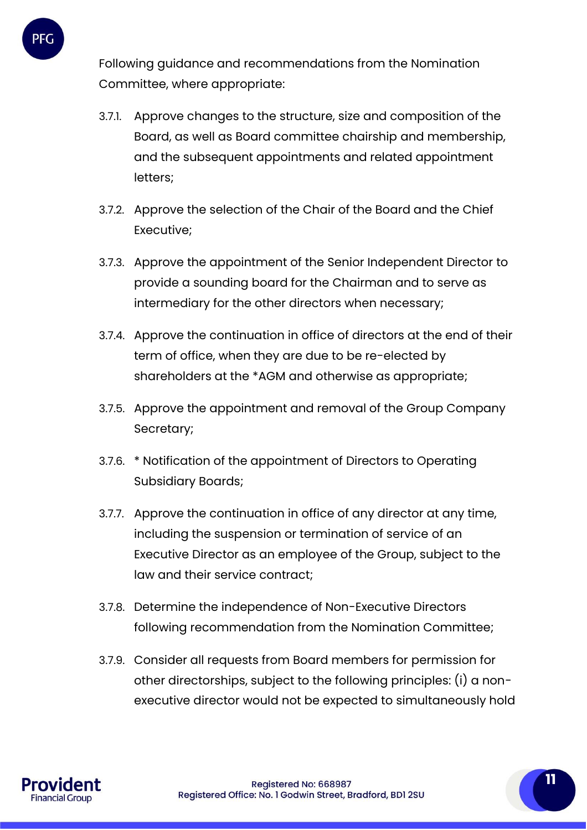

Following guidance and recommendations from the Nomination Committee, where appropriate:

- 3.7.1. Approve changes to the structure, size and composition of the Board, as well as Board committee chairship and membership, and the subsequent appointments and related appointment letters;
- 3.7.2. Approve the selection of the Chair of the Board and the Chief Executive;
- 3.7.3. Approve the appointment of the Senior Independent Director to provide a sounding board for the Chairman and to serve as intermediary for the other directors when necessary;
- 3.7.4. Approve the continuation in office of directors at the end of their term of office, when they are due to be re-elected by shareholders at the \*AGM and otherwise as appropriate;
- 3.7.5. Approve the appointment and removal of the Group Company Secretary;
- 3.7.6. \* Notification of the appointment of Directors to Operating Subsidiary Boards;
- 3.7.7. Approve the continuation in office of any director at any time, including the suspension or termination of service of an Executive Director as an employee of the Group, subject to the law and their service contract;
- 3.7.8. Determine the independence of Non-Executive Directors following recommendation from the Nomination Committee;
- 3.7.9. Consider all requests from Board members for permission for other directorships, subject to the following principles: (i) a nonexecutive director would not be expected to simultaneously hold

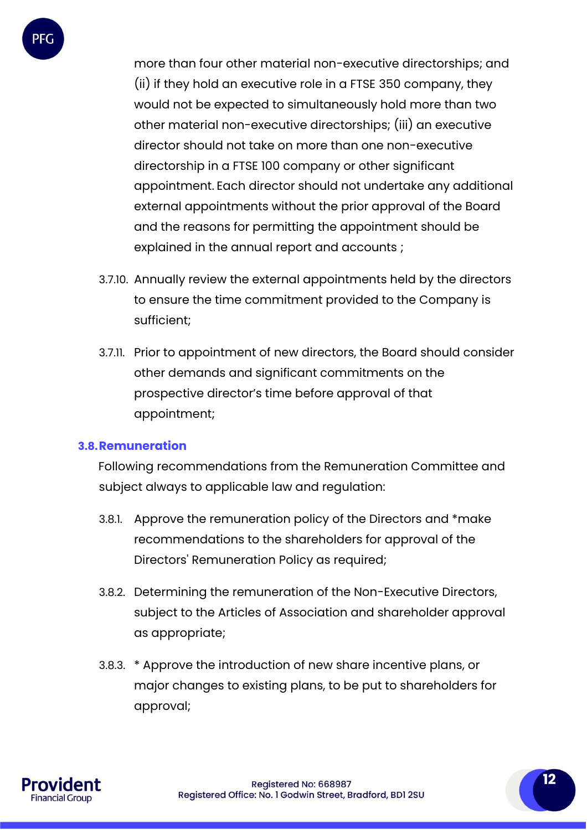

more than four other material non-executive directorships; and (ii) if they hold an executive role in a FTSE 350 company, they would not be expected to simultaneously hold more than two other material non-executive directorships; (iii) an executive director should not take on more than one non-executive directorship in a FTSE 100 company or other significant appointment. Each director should not undertake any additional external appointments without the prior approval of the Board and the reasons for permitting the appointment should be explained in the annual report and accounts ;

- 3.7.10. Annually review the external appointments held by the directors to ensure the time commitment provided to the Company is sufficient;
- 3.7.11. Prior to appointment of new directors, the Board should consider other demands and significant commitments on the prospective director's time before approval of that appointment;

#### **3.8.Remuneration**

Following recommendations from the Remuneration Committee and subject always to applicable law and regulation:

- 3.8.1. Approve the remuneration policy of the Directors and \*make recommendations to the shareholders for approval of the Directors' Remuneration Policy as required;
- 3.8.2. Determining the remuneration of the Non-Executive Directors, subject to the Articles of Association and shareholder approval as appropriate;
- 3.8.3. \* Approve the introduction of new share incentive plans, or major changes to existing plans, to be put to shareholders for approval;

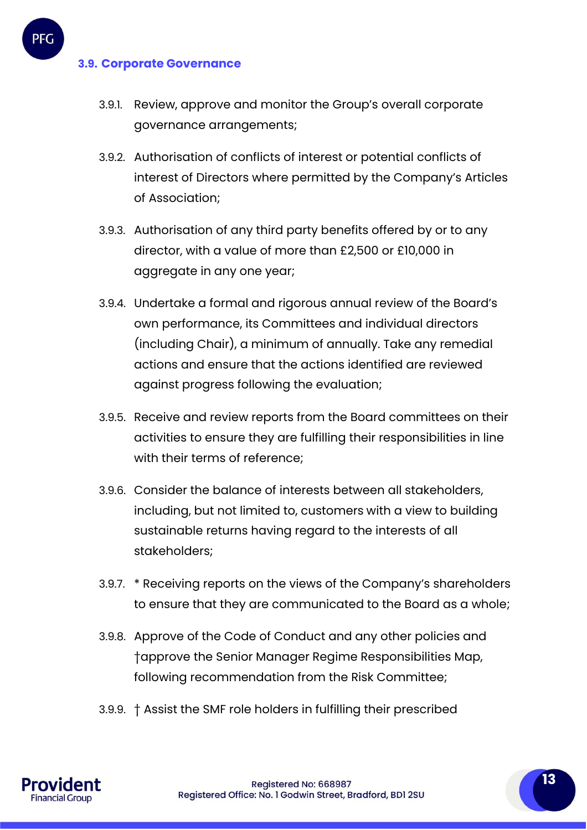#### **3.9. Corporate Governance**

- 3.9.1. Review, approve and monitor the Group's overall corporate governance arrangements;
- 3.9.2. Authorisation of conflicts of interest or potential conflicts of interest of Directors where permitted by the Company's Articles of Association;
- 3.9.3. Authorisation of any third party benefits offered by or to any director, with a value of more than £2,500 or £10,000 in aggregate in any one year;
- 3.9.4. Undertake a formal and rigorous annual review of the Board's own performance, its Committees and individual directors (including Chair), a minimum of annually. Take any remedial actions and ensure that the actions identified are reviewed against progress following the evaluation;
- 3.9.5. Receive and review reports from the Board committees on their activities to ensure they are fulfilling their responsibilities in line with their terms of reference;
- 3.9.6. Consider the balance of interests between all stakeholders, including, but not limited to, customers with a view to building sustainable returns having regard to the interests of all stakeholders;
- 3.9.7. \* Receiving reports on the views of the Company's shareholders to ensure that they are communicated to the Board as a whole;
- 3.9.8. Approve of the Code of Conduct and any other policies and †approve the Senior Manager Regime Responsibilities Map, following recommendation from the Risk Committee;
- 3.9.9. † Assist the SMF role holders in fulfilling their prescribed

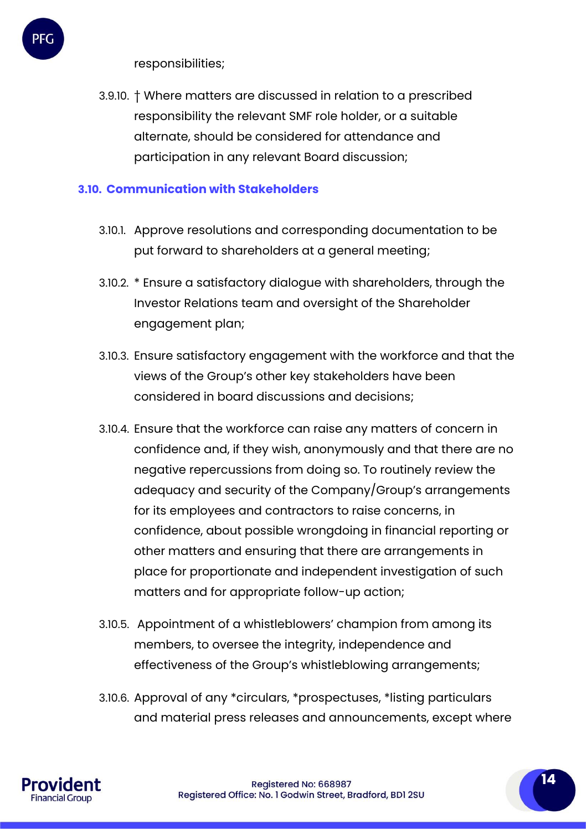responsibilities;

PFC

3.9.10. † Where matters are discussed in relation to a prescribed responsibility the relevant SMF role holder, or a suitable alternate, should be considered for attendance and participation in any relevant Board discussion;

## **3.10. Communication with Stakeholders**

- 3.10.1. Approve resolutions and corresponding documentation to be put forward to shareholders at a general meeting;
- 3.10.2. \* Ensure a satisfactory dialogue with shareholders, through the Investor Relations team and oversight of the Shareholder engagement plan;
- 3.10.3. Ensure satisfactory engagement with the workforce and that the views of the Group's other key stakeholders have been considered in board discussions and decisions;
- 3.10.4. Ensure that the workforce can raise any matters of concern in confidence and, if they wish, anonymously and that there are no negative repercussions from doing so. To routinely review the adequacy and security of the Company/Group's arrangements for its employees and contractors to raise concerns, in confidence, about possible wrongdoing in financial reporting or other matters and ensuring that there are arrangements in place for proportionate and independent investigation of such matters and for appropriate follow-up action;
- 3.10.5. Appointment of a whistleblowers' champion from among its members, to oversee the integrity, independence and effectiveness of the Group's whistleblowing arrangements;
- 3.10.6. Approval of any \*circulars, \*prospectuses, \*listing particulars and material press releases and announcements, except where

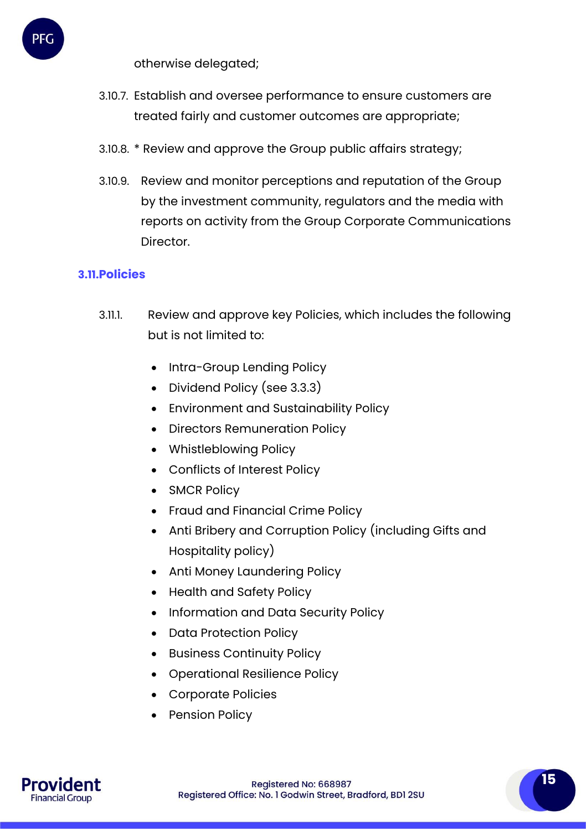

otherwise delegated;

- 3.10.7. Establish and oversee performance to ensure customers are treated fairly and customer outcomes are appropriate;
- 3.10.8. \* Review and approve the Group public affairs strategy;
- 3.10.9. Review and monitor perceptions and reputation of the Group by the investment community, regulators and the media with reports on activity from the Group Corporate Communications Director.

#### **3.11.Policies**

- 3.11.1. Review and approve key Policies, which includes the following but is not limited to:
	- Intra-Group Lending Policy
	- Dividend Policy (see 3.3.3)
	- Environment and Sustainability Policy
	- Directors Remuneration Policy
	- Whistleblowing Policy
	- Conflicts of Interest Policy
	- SMCR Policy
	- Fraud and Financial Crime Policy
	- Anti Bribery and Corruption Policy (including Gifts and Hospitality policy)
	- Anti Money Laundering Policy
	- Health and Safety Policy
	- Information and Data Security Policy
	- Data Protection Policy
	- Business Continuity Policy
	- Operational Resilience Policy
	- Corporate Policies
	- Pension Policy

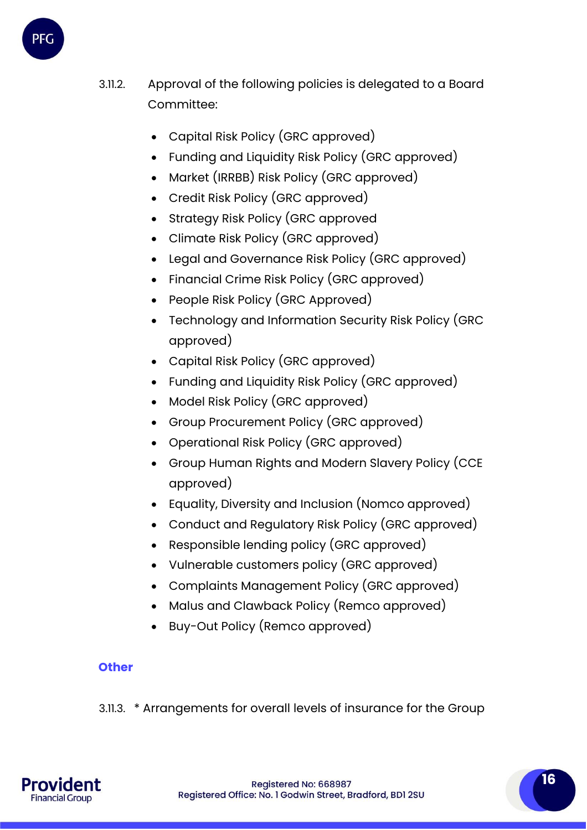

- 3.11.2. Approval of the following policies is delegated to a Board Committee:
	- Capital Risk Policy (GRC approved)
	- Funding and Liquidity Risk Policy (GRC approved)
	- Market (IRRBB) Risk Policy (GRC approved)
	- Credit Risk Policy (GRC approved)
	- Strategy Risk Policy (GRC approved
	- Climate Risk Policy (GRC approved)
	- Legal and Governance Risk Policy (GRC approved)
	- Financial Crime Risk Policy (GRC approved)
	- People Risk Policy (GRC Approved)
	- Technology and Information Security Risk Policy (GRC approved)
	- Capital Risk Policy (GRC approved)
	- Funding and Liquidity Risk Policy (GRC approved)
	- Model Risk Policy (GRC approved)
	- Group Procurement Policy (GRC approved)
	- Operational Risk Policy (GRC approved)
	- Group Human Rights and Modern Slavery Policy (CCE approved)
	- Equality, Diversity and Inclusion (Nomco approved)
	- Conduct and Regulatory Risk Policy (GRC approved)
	- Responsible lending policy (GRC approved)
	- Vulnerable customers policy (GRC approved)
	- Complaints Management Policy (GRC approved)
	- Malus and Clawback Policy (Remco approved)
	- Buy-Out Policy (Remco approved)

# **Other**

3.11.3. \* Arrangements for overall levels of insurance for the Group



**16**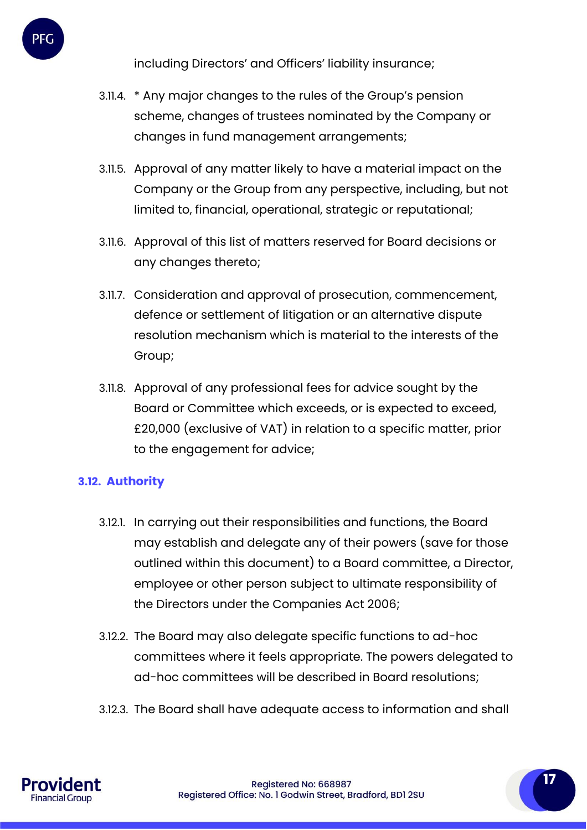including Directors' and Officers' liability insurance;

- 3.11.4. \* Any major changes to the rules of the Group's pension scheme, changes of trustees nominated by the Company or changes in fund management arrangements;
- 3.11.5. Approval of any matter likely to have a material impact on the Company or the Group from any perspective, including, but not limited to, financial, operational, strategic or reputational;
- 3.11.6. Approval of this list of matters reserved for Board decisions or any changes thereto;
- 3.11.7. Consideration and approval of prosecution, commencement, defence or settlement of litigation or an alternative dispute resolution mechanism which is material to the interests of the Group;
- 3.11.8. Approval of any professional fees for advice sought by the Board or Committee which exceeds, or is expected to exceed, £20,000 (exclusive of VAT) in relation to a specific matter, prior to the engagement for advice;

## **3.12. Authority**

- 3.12.1. In carrying out their responsibilities and functions, the Board may establish and delegate any of their powers (save for those outlined within this document) to a Board committee, a Director, employee or other person subject to ultimate responsibility of the Directors under the Companies Act 2006;
- 3.12.2. The Board may also delegate specific functions to ad-hoc committees where it feels appropriate. The powers delegated to ad-hoc committees will be described in Board resolutions;
- 3.12.3. The Board shall have adequate access to information and shall

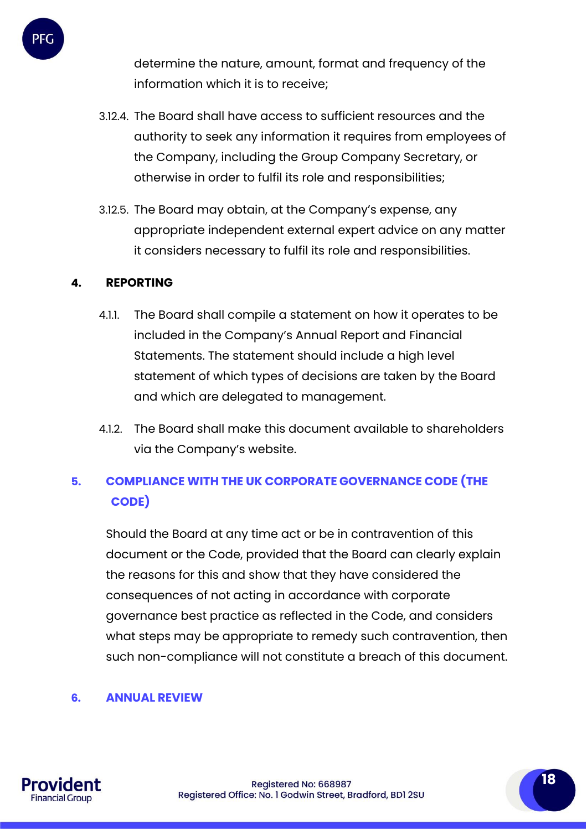determine the nature, amount, format and frequency of the information which it is to receive;

- 3.12.4. The Board shall have access to sufficient resources and the authority to seek any information it requires from employees of the Company, including the Group Company Secretary, or otherwise in order to fulfil its role and responsibilities;
- 3.12.5. The Board may obtain, at the Company's expense, any appropriate independent external expert advice on any matter it considers necessary to fulfil its role and responsibilities.

#### **4. REPORTING**

PFC

- 4.1.1. The Board shall compile a statement on how it operates to be included in the Company's Annual Report and Financial Statements. The statement should include a high level statement of which types of decisions are taken by the Board and which are delegated to management.
- 4.1.2. The Board shall make this document available to shareholders via the Company's website.

# **5. COMPLIANCE WITH THE UK CORPORATE GOVERNANCE CODE (THE CODE)**

Should the Board at any time act or be in contravention of this document or the Code, provided that the Board can clearly explain the reasons for this and show that they have considered the consequences of not acting in accordance with corporate governance best practice as reflected in the Code, and considers what steps may be appropriate to remedy such contravention, then such non-compliance will not constitute a breach of this document.

#### **6. ANNUAL REVIEW**